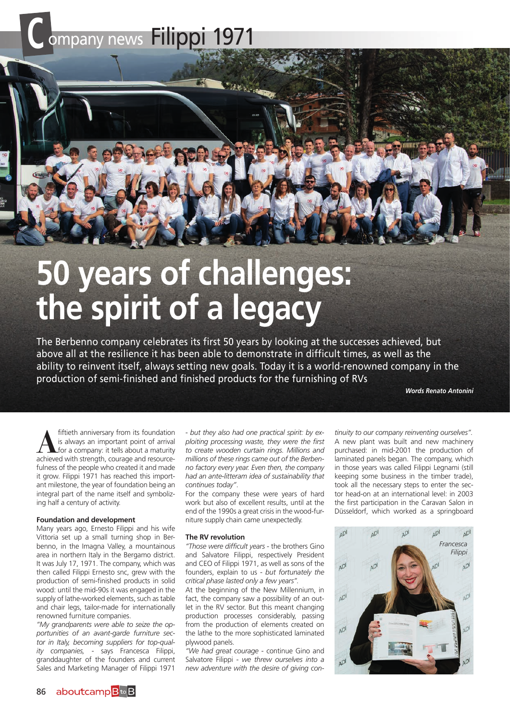# Company news Filippi 1971

## **50 years of challenges: the spirit of a legacy**

The Berbenno company celebrates its first 50 years by looking at the successes achieved, but above all at the resilience it has been able to demonstrate in difficult times, as well as the ability to reinvent itself, always setting new goals. Today it is a world-renowned company in the production of semi-finished and finished products for the furnishing of RVs

**Like** 

*Words Renato Antonini*

**A** fiftieth anniversary from its foundation<br>
for a company: it tells about a maturity<br>
achieved with strength courage and resourceis always an important point of arrival achieved with strength, courage and resourcefulness of the people who created it and made it grow. Filippi 1971 has reached this important milestone, the year of foundation being an integral part of the name itself and symbolizing half a century of activity.

#### **Foundation and development**

Many years ago, Ernesto Filippi and his wife Vittoria set up a small turning shop in Berbenno, in the Imagna Valley, a mountainous area in northern Italy in the Bergamo district. It was July 17, 1971. The company, which was then called Filippi Ernesto snc, grew with the production of semi-finished products in solid wood: until the mid-90s it was engaged in the supply of lathe-worked elements, such as table and chair legs, tailor-made for internationally renowned furniture companies.

*"My grandparents were able to seize the opportunities of an avant-garde furniture sector in Italy, becoming suppliers for top-quality companies,* - says Francesca Filippi, granddaughter of the founders and current Sales and Marketing Manager of Filippi 1971

- *but they also had one practical spirit: by exploiting processing waste, they were the first to create wooden curtain rings. Millions and millions of these rings came out of the Berbenno factory every year. Even then, the company had an ante-litteram idea of sustainability that continues today"*.

For the company these were years of hard work but also of excellent results, until at the end of the 1990s a great crisis in the wood-furniture supply chain came unexpectedly.

#### **The RV revolution**

*"Those were difficult years* - the brothers Gino and Salvatore Filippi, respectively President and CEO of Filippi 1971, as well as sons of the founders, explain to us - *but fortunately the critical phase lasted only a few years".*

At the beginning of the New Millennium, in fact, the company saw a possibility of an outlet in the RV sector. But this meant changing production processes considerably, passing from the production of elements created on the lathe to the more sophisticated laminated plywood panels.

*"We had great courage* - continue Gino and Salvatore Filippi - *we threw ourselves into a new adventure with the desire of giving con-*

*tinuity to our company reinventing ourselves".* A new plant was built and new machinery purchased: in mid-2001 the production of laminated panels began. The company, which in those years was called Filippi Legnami (still keeping some business in the timber trade), took all the necessary steps to enter the sector head-on at an international level: in 2003 the first participation in the Caravan Salon in Düsseldorf, which worked as a springboard